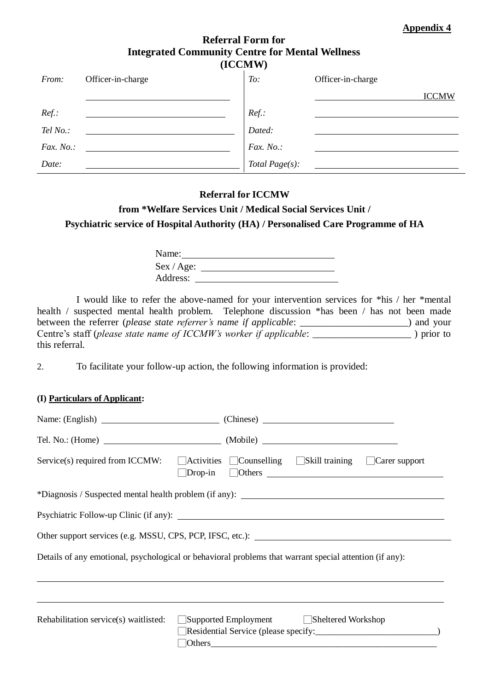**Appendix 4**

## **Referral Form for Integrated Community Centre for Mental Wellness (ICCMW)**

| From:        | Officer-in-charge | To:            | Officer-in-charge |
|--------------|-------------------|----------------|-------------------|
|              |                   |                | <b>ICCMW</b>      |
| $Ref.$ :     |                   | $Ref.$ :       |                   |
| Tel No.:     |                   | Dated:         |                   |
| Fax. $No.$ : |                   | Fax. No.:      |                   |
| Date:        |                   | Total Page(s): |                   |

## **Referral for ICCMW**

## **from \*Welfare Services Unit / Medical Social Services Unit / Psychiatric service of Hospital Authority (HA) / Personalised Care Programme of HA**

| Name:      |  |
|------------|--|
| Sex / Age: |  |
| Address:   |  |

I would like to refer the above-named for your intervention services for \*his / her \*mental health / suspected mental health problem. Telephone discussion \*has been / has not been made between the referrer (*please state referrer's name if applicable*: \_\_\_\_\_\_\_\_\_\_\_\_\_\_\_\_\_\_\_\_\_) and your Centre's staff (*please state name of ICCMW's worker if applicable*: \_\_\_\_\_\_\_\_\_\_\_\_\_\_\_\_\_\_\_\_ ) prior to this referral.

2. To facilitate your follow-up action, the following information is provided:

## **(I) Particulars of Applicant:**

|                                                                                                                                                                                                                                                                                               | Name: (English) (Chinese) (Chinese)                                                                                                                       |  |  |  |  |  |
|-----------------------------------------------------------------------------------------------------------------------------------------------------------------------------------------------------------------------------------------------------------------------------------------------|-----------------------------------------------------------------------------------------------------------------------------------------------------------|--|--|--|--|--|
|                                                                                                                                                                                                                                                                                               |                                                                                                                                                           |  |  |  |  |  |
|                                                                                                                                                                                                                                                                                               | Service(s) required from ICCMW: $\Box$ Activities $\Box$ Counselling $\Box$ Skill training $\Box$ Carer support<br>$\Box$ Others $\Box$<br>$\Box$ Drop-in |  |  |  |  |  |
|                                                                                                                                                                                                                                                                                               |                                                                                                                                                           |  |  |  |  |  |
|                                                                                                                                                                                                                                                                                               |                                                                                                                                                           |  |  |  |  |  |
|                                                                                                                                                                                                                                                                                               |                                                                                                                                                           |  |  |  |  |  |
|                                                                                                                                                                                                                                                                                               | Details of any emotional, psychological or behavioral problems that warrant special attention (if any):                                                   |  |  |  |  |  |
| Supported Employment Sheltered Workshop<br>Rehabilitation service(s) waitlisted:<br>Others <b>Community</b> Others <b>Community Community Community Community Community Community Community Community Community Community Community Community Community Community Community Community Com</b> |                                                                                                                                                           |  |  |  |  |  |